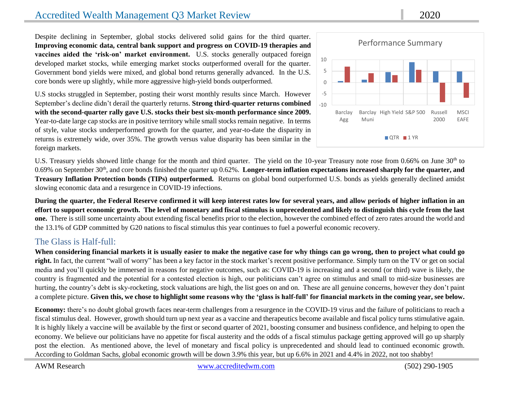# Accredited Wealth Management Q3 Market Review 2020

Despite declining in September, global stocks delivered solid gains for the third quarter. **Improving economic data, central bank support and progress on COVID-19 therapies and vaccines aided the 'risk-on' market environment.** U.S. stocks generally outpaced foreign developed market stocks, while emerging market stocks outperformed overall for the quarter. Government bond yields were mixed, and global bond returns generally advanced. In the U.S. core bonds were up slightly, while more aggressive high-yield bonds outperformed.

U.S stocks struggled in September, posting their worst monthly results since March. However September's decline didn't derail the quarterly returns. **Strong third-quarter returns combined with the second-quarter rally gave U.S. stocks their best six-month performance since 2009.** Year-to-date large cap stocks are in positive territory while small stocks remain negative. In terms of style, value stocks underperformed growth for the quarter, and year-to-date the disparity in returns is extremely wide, over 35%. The growth versus value disparity has been similar in the foreign markets.



U.S. Treasury yields showed little change for the month and third quarter. The yield on the 10-year Treasury note rose from 0.66% on June 30<sup>th</sup> to 0.69% on September 30<sup>th</sup>, and core bonds finished the quarter up 0.62%. Longer-term inflation expectations increased sharply for the quarter, and **Treasury Inflation Protection bonds (TIPs) outperformed.** Returns on global bond outperformed U.S. bonds as yields generally declined amidst slowing economic data and a resurgence in COVID-19 infections.

**During the quarter, the Federal Reserve confirmed it will keep interest rates low for several years, and allow periods of higher inflation in an effort to support economic growth. The level of monetary and fiscal stimulus is unprecedented and likely to distinguish this cycle from the last one.** There is still some uncertainty about extending fiscal benefits prior to the election, however the combined effect of zero rates around the world and the 13.1% of GDP committed by G20 nations to fiscal stimulus this year continues to fuel a powerful economic recovery.

### The Glass is Half-full:

**When considering financial markets it is usually easier to make the negative case for why things can go wrong, then to project what could go right.** In fact, the current "wall of worry" has been a key factor in the stock market's recent positive performance. Simply turn on the TV or get on social media and you'll quickly be immersed in reasons for negative outcomes, such as: COVID-19 is increasing and a second (or third) wave is likely, the country is fragmented and the potential for a contested election is high, our politicians can't agree on stimulus and small to mid-size businesses are hurting, the country's debt is sky-rocketing, stock valuations are high, the list goes on and on. These are all genuine concerns, however they don't paint a complete picture. **Given this, we chose to highlight some reasons why the 'glass is half-full' for financial markets in the coming year, see below.**

**Economy:** there's no doubt global growth faces near-term challenges from a resurgence in the COVID-19 virus and the failure of politicians to reach a fiscal stimulus deal. However, growth should turn up next year as a vaccine and therapeutics become available and fiscal policy turns stimulative again. It is highly likely a vaccine will be available by the first or second quarter of 2021, boosting consumer and business confidence, and helping to open the economy. We believe our politicians have no appetite for fiscal austerity and the odds of a fiscal stimulus package getting approved will go up sharply post the election. As mentioned above, the level of monetary and fiscal policy is unprecedented and should lead to continued economic growth. According to Goldman Sachs, global economic growth will be down 3.9% this year, but up 6.6% in 2021 and 4.4% in 2022, not too shabby!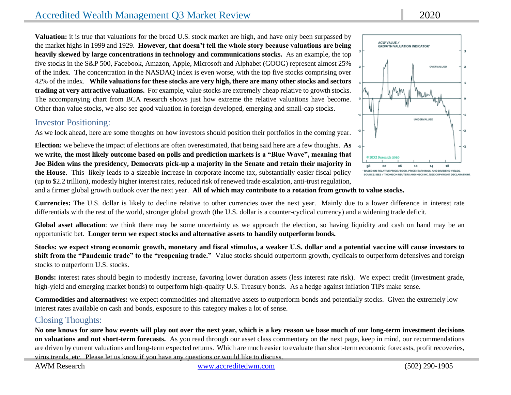# Accredited Wealth Management Q3 Market Review 2020

**Valuation:** it is true that valuations for the broad U.S. stock market are high, and have only been surpassed by the market highs in 1999 and 1929. **However, that doesn't tell the whole story because valuations are being heavily skewed by large concentrations in technology and communications stocks.** As an example, the top five stocks in the S&P 500, Facebook, Amazon, Apple, Microsoft and Alphabet (GOOG) represent almost 25% of the index. The concentration in the NASDAQ index is even worse, with the top five stocks comprising over 42% of the index. **While valuations for these stocks are very high, there are many other stocks and sectors trading at very attractive valuations.** For example, value stocks are extremely cheap relative to growth stocks. The accompanying chart from BCA research shows just how extreme the relative valuations have become. Other than value stocks, we also see good valuation in foreign developed, emerging and small-cap stocks.

## Investor Positioning:

As we look ahead, here are some thoughts on how investors should position their portfolios in the coming year.

**Election:** we believe the impact of elections are often overestimated, that being said here are a few thoughts. **As we write, the most likely outcome based on polls and prediction markets is a "Blue Wave", meaning that Joe Biden wins the presidency, Democrats pick-up a majority in the Senate and retain their majority in the House**. This likely leads to a sizeable increase in corporate income tax, substantially easier fiscal policy (up to \$2.2 trillion), modestly higher interest rates, reduced risk of renewed trade escalation, anti-trust regulation,

and a firmer global growth outlook over the next year. **All of which may contribute to a rotation from growth to value stocks.**

**Currencies:** The U.S. dollar is likely to decline relative to other currencies over the next year. Mainly due to a lower difference in interest rate differentials with the rest of the world, stronger global growth (the U.S. dollar is a counter-cyclical currency) and a widening trade deficit.

Global asset allocation: we think there may be some uncertainty as we approach the election, so having liquidity and cash on hand may be an opportunistic bet. **Longer term we expect stocks and alternative assets to handily outperform bonds.**

**Stocks: we expect strong economic growth, monetary and fiscal stimulus, a weaker U.S. dollar and a potential vaccine will cause investors to shift from the "Pandemic trade" to the "reopening trade."** Value stocks should outperform growth, cyclicals to outperform defensives and foreign stocks to outperform U.S. stocks.

**Bonds:** interest rates should begin to modestly increase, favoring lower duration assets (less interest rate risk). We expect credit (investment grade, high-yield and emerging market bonds) to outperform high-quality U.S. Treasury bonds. As a hedge against inflation TIPs make sense.

**Commodities and alternatives:** we expect commodities and alternative assets to outperform bonds and potentially stocks. Given the extremely low interest rates available on cash and bonds, exposure to this category makes a lot of sense.

## Closing Thoughts:

**No one knows for sure how events will play out over the next year, which is a key reason we base much of our long-term investment decisions on valuations and not short-term forecasts.** As you read through our asset class commentary on the next page, keep in mind, our recommendations are driven by current valuations and long-term expected returns. Which are much easier to evaluate than short-term economic forecasts, profit recoveries, virus trends, etc. Please let us know if you have any questions or would like to discuss.

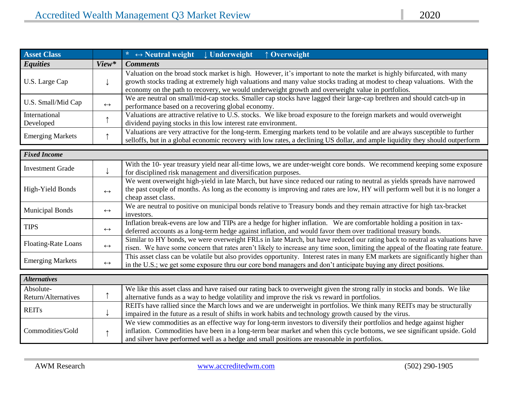| <b>Asset Class</b>      |                   | $\star \leftrightarrow$ Neutral weight<br><b>J</b> Underweight<br>↑ Overweight                                                                                                                                                                                                                                                                          |
|-------------------------|-------------------|---------------------------------------------------------------------------------------------------------------------------------------------------------------------------------------------------------------------------------------------------------------------------------------------------------------------------------------------------------|
| <b>Equities</b>         | View*             | <b>Comments</b>                                                                                                                                                                                                                                                                                                                                         |
| U.S. Large Cap          |                   | Valuation on the broad stock market is high. However, it's important to note the market is highly bifurcated, with many<br>growth stocks trading at extremely high valuations and many value stocks trading at modest to cheap valuations. With the<br>economy on the path to recovery, we would underweight growth and overweight value in portfolios. |
| U.S. Small/Mid Cap      |                   | We are neutral on small/mid-cap stocks. Smaller cap stocks have lagged their large-cap brethren and should catch-up in                                                                                                                                                                                                                                  |
|                         | $\leftrightarrow$ | performance based on a recovering global economy.                                                                                                                                                                                                                                                                                                       |
| International           |                   | Valuations are attractive relative to U.S. stocks. We like broad exposure to the foreign markets and would overweight                                                                                                                                                                                                                                   |
| Developed               |                   | dividend paying stocks in this low interest rate environment.                                                                                                                                                                                                                                                                                           |
| <b>Emerging Markets</b> |                   | Valuations are very attractive for the long-term. Emerging markets tend to be volatile and are always susceptible to further<br>selloffs, but in a global economic recovery with low rates, a declining US dollar, and ample liquidity they should outperform                                                                                           |

| <b>Fixed Income</b>        |                   |                                                                                                                                   |
|----------------------------|-------------------|-----------------------------------------------------------------------------------------------------------------------------------|
| <b>Investment Grade</b>    |                   | With the 10-year treasury yield near all-time lows, we are under-weight core bonds. We recommend keeping some exposure            |
|                            |                   | for disciplined risk management and diversification purposes.                                                                     |
|                            |                   | We went overweight high-yield in late March, but have since reduced our rating to neutral as yields spreads have narrowed         |
| High-Yield Bonds           | $\leftrightarrow$ | the past couple of months. As long as the economy is improving and rates are low, HY will perform well but it is no longer a      |
|                            |                   | cheap asset class.                                                                                                                |
|                            |                   | We are neutral to positive on municipal bonds relative to Treasury bonds and they remain attractive for high tax-bracket          |
| <b>Municipal Bonds</b>     | $\leftrightarrow$ | investors.                                                                                                                        |
| <b>TIPS</b>                | $\leftrightarrow$ | Inflation break-evens are low and TIPs are a hedge for higher inflation. We are comfortable holding a position in tax-            |
|                            |                   | deferred accounts as a long-term hedge against inflation, and would favor them over traditional treasury bonds.                   |
| <b>Floating-Rate Loans</b> | $\leftrightarrow$ | Similar to HY bonds, we were overweight FRLs in late March, but have reduced our rating back to neutral as valuations have        |
|                            |                   | risen. We have some concern that rates aren't likely to increase any time soon, limiting the appeal of the floating rate feature. |
| <b>Emerging Markets</b>    |                   | This asset class can be volatile but also provides opportunity. Interest rates in many EM markets are significantly higher than   |
|                            | $\leftrightarrow$ | in the U.S.; we get some exposure thru our core bond managers and don't anticipate buying any direct positions.                   |

| <b>Alternatives</b> |  |                                                                                                                            |  |  |  |
|---------------------|--|----------------------------------------------------------------------------------------------------------------------------|--|--|--|
| Absolute-           |  | We like this asset class and have raised our rating back to overweight given the strong rally in stocks and bonds. We like |  |  |  |
| Return/Alternatives |  | alternative funds as a way to hedge volatility and improve the risk vs reward in portfolios.                               |  |  |  |
| <b>REITs</b>        |  | REITs have rallied since the March lows and we are underweight in portfolios. We think many REITs may be structurally      |  |  |  |
|                     |  | impaired in the future as a result of shifts in work habits and technology growth caused by the virus.                     |  |  |  |
|                     |  | We view commodities as an effective way for long-term investors to diversify their portfolios and hedge against higher     |  |  |  |
| Commodities/Gold    |  | inflation. Commodities have been in a long-term bear market and when this cycle bottoms, we see significant upside. Gold   |  |  |  |
|                     |  | and silver have performed well as a hedge and small positions are reasonable in portfolios.                                |  |  |  |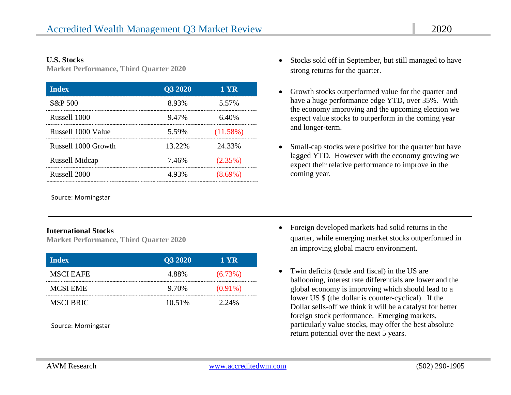#### **U.S. Stocks**

**Market Performance, Third Quarter 2020**

| <b>Index</b>          | Q3 2020 | 1 YR        |
|-----------------------|---------|-------------|
| S&P 500               | 8.93%   | 5.57%       |
| Russell 1000          | 9.47%   | 6.40%       |
| Russell 1000 Value    | 5.59%   | $(11.58\%)$ |
| Russell 1000 Growth   | 13.22%  | 24.33%      |
| <b>Russell Midcap</b> | 7.46%   | $(2.35\%)$  |
| Russell 2000          | 4.93%   |             |

Source: Morningstar

#### **International Stocks**

**Market Performance, Third Quarter 2020**

| <b>Index</b>     | Q3 2020 | 1 YR       |
|------------------|---------|------------|
| <b>MSCI EAFE</b> | 4.88%   | $(6.73\%)$ |
| <b>MCSI EME</b>  | 9.70%   | $(0.91\%)$ |
| <b>MSCI BRIC</b> | 10.51%  | 2.24%      |

Source: Morningstar

- Stocks sold off in September, but still managed to have strong returns for the quarter.
- Growth stocks outperformed value for the quarter and have a huge performance edge YTD, over 35%. With the economy improving and the upcoming election we expect value stocks to outperform in the coming year and longer-term.
- Small-cap stocks were positive for the quarter but have lagged YTD. However with the economy growing we expect their relative performance to improve in the coming year.

- Foreign developed markets had solid returns in the quarter, while emerging market stocks outperformed in an improving global macro environment.
- Twin deficits (trade and fiscal) in the US are ballooning, interest rate differentials are lower and the global economy is improving which should lead to a lower US \$ (the dollar is counter-cyclical). If the Dollar sells-off we think it will be a catalyst for better foreign stock performance. Emerging markets, particularly value stocks, may offer the best absolute return potential over the next 5 years.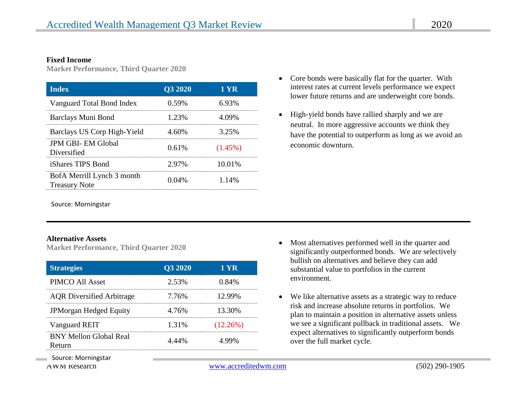#### **Fixed Income**

**Market Performance, Third Quarter 2020**

| <b>Index</b>                                       | Q3 2020 | 1 YR       |
|----------------------------------------------------|---------|------------|
| Vanguard Total Bond Index                          | 0.59%   | 6.93%      |
| Barclays Muni Bond                                 | 1.23%   | 4.09%      |
| Barclays US Corp High-Yield                        | 4.60%   | 3.25%      |
| <b>JPM GBI-EM Global</b><br>Diversified            | 0.61%   | $(1.45\%)$ |
| iShares TIPS Bond                                  | 2.97%   | 10.01%     |
| BofA Merrill Lynch 3 month<br><b>Treasury Note</b> | 0.04%   | 1.14%      |

Source: Morningstar

#### **Alternative Assets**

**Market Performance, Third Quarter 2020**

| <b>Strategies</b>                       | Q3 2020 | 1 YR        |
|-----------------------------------------|---------|-------------|
| PIMCO All Asset                         | 2.53%   | 0.84%       |
| <b>AQR</b> Diversified Arbitrage        | 7.76%   | 12.99%      |
| JPMorgan Hedged Equity                  | 4.76%   | 13.30%      |
| Vanguard REIT                           | 1.31%   | $(12.26\%)$ |
| <b>BNY Mellon Global Real</b><br>Refurn | 4.44%   | 4.99%       |

- Core bonds were basically flat for the quarter. With interest rates at current levels performance we expect lower future returns and are underweight core bonds.
- High-yield bonds have rallied sharply and we are neutral. In more aggressive accounts we think they have the potential to outperform as long as we avoid an economic downturn.

- Most alternatives performed well in the quarter and significantly outperformed bonds. We are selectively bullish on alternatives and believe they can add substantial value to portfolios in the current environment.
- We like alternative assets as a strategic way to reduce risk and increase absolute returns in portfolios. We plan to maintain a position in alternative assets unless we see a significant pullback in traditional assets. We expect alternatives to significantly outperform bonds over the full market cycle.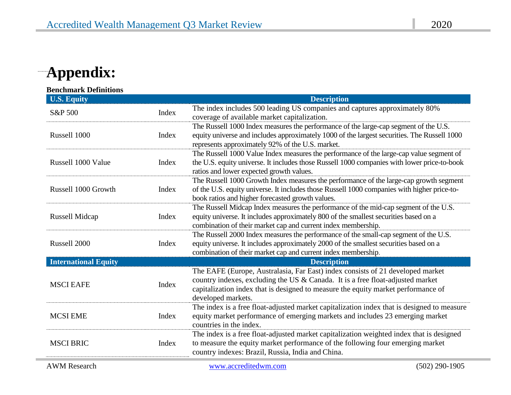# **Appendix:**

| <b>U.S. Equity</b>          |       | <b>Description</b>                                                                                                                                                                                                                                                          |  |
|-----------------------------|-------|-----------------------------------------------------------------------------------------------------------------------------------------------------------------------------------------------------------------------------------------------------------------------------|--|
| S&P 500                     | Index | The index includes 500 leading US companies and captures approximately 80%<br>coverage of available market capitalization.                                                                                                                                                  |  |
| Russell 1000                | Index | The Russell 1000 Index measures the performance of the large-cap segment of the U.S.<br>equity universe and includes approximately 1000 of the largest securities. The Russell 1000<br>represents approximately 92% of the U.S. market.                                     |  |
| Russell 1000 Value          | Index | The Russell 1000 Value Index measures the performance of the large-cap value segment of<br>the U.S. equity universe. It includes those Russell 1000 companies with lower price-to-book<br>ratios and lower expected growth values.                                          |  |
| Russell 1000 Growth         | Index | The Russell 1000 Growth Index measures the performance of the large-cap growth segment<br>of the U.S. equity universe. It includes those Russell 1000 companies with higher price-to-<br>book ratios and higher forecasted growth values.                                   |  |
| <b>Russell Midcap</b>       | Index | The Russell Midcap Index measures the performance of the mid-cap segment of the U.S.<br>equity universe. It includes approximately 800 of the smallest securities based on a<br>combination of their market cap and current index membership.                               |  |
| Russell 2000                | Index | The Russell 2000 Index measures the performance of the small-cap segment of the U.S.<br>equity universe. It includes approximately 2000 of the smallest securities based on a<br>combination of their market cap and current index membership.                              |  |
| <b>International Equity</b> |       | <b>Description</b>                                                                                                                                                                                                                                                          |  |
| <b>MSCI EAFE</b>            | Index | The EAFE (Europe, Australasia, Far East) index consists of 21 developed market<br>country indexes, excluding the US & Canada. It is a free float-adjusted market<br>capitalization index that is designed to measure the equity market performance of<br>developed markets. |  |
| <b>MCSI EME</b>             | Index | The index is a free float-adjusted market capitalization index that is designed to measure<br>equity market performance of emerging markets and includes 23 emerging market<br>countries in the index.                                                                      |  |
| <b>MSCI BRIC</b>            | Index | The index is a free float-adjusted market capitalization weighted index that is designed<br>to measure the equity market performance of the following four emerging market<br>country indexes: Brazil, Russia, India and China.                                             |  |
| <b>AWM</b> Research         |       | www.accreditedwm.com<br>$(502)$ 290-1905                                                                                                                                                                                                                                    |  |

**COLLECTION**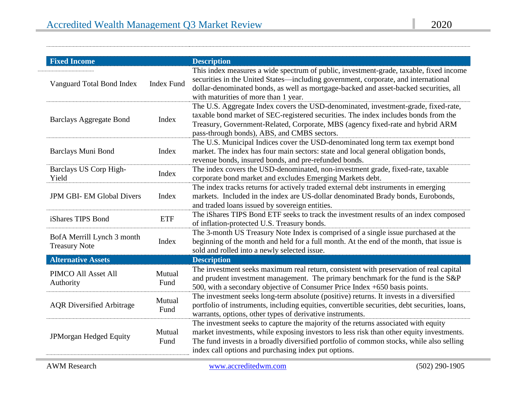| <b>Fixed Income</b>                                |                   | <b>Description</b>                                                                                                                                                                                                                                                                                                                 |
|----------------------------------------------------|-------------------|------------------------------------------------------------------------------------------------------------------------------------------------------------------------------------------------------------------------------------------------------------------------------------------------------------------------------------|
| Vanguard Total Bond Index                          | <b>Index Fund</b> | This index measures a wide spectrum of public, investment-grade, taxable, fixed income<br>securities in the United States—including government, corporate, and international<br>dollar-denominated bonds, as well as mortgage-backed and asset-backed securities, all<br>with maturities of more than 1 year.                      |
| <b>Barclays Aggregate Bond</b>                     | Index             | The U.S. Aggregate Index covers the USD-denominated, investment-grade, fixed-rate,<br>taxable bond market of SEC-registered securities. The index includes bonds from the<br>Treasury, Government-Related, Corporate, MBS (agency fixed-rate and hybrid ARM<br>pass-through bonds), ABS, and CMBS sectors.                         |
| Barclays Muni Bond                                 | Index             | The U.S. Municipal Indices cover the USD-denominated long term tax exempt bond<br>market. The index has four main sectors: state and local general obligation bonds,<br>revenue bonds, insured bonds, and pre-refunded bonds.                                                                                                      |
| Barclays US Corp High-<br>Yield                    | Index             | The index covers the USD-denominated, non-investment grade, fixed-rate, taxable<br>corporate bond market and excludes Emerging Markets debt.                                                                                                                                                                                       |
| <b>JPM GBI-EM Global Divers</b>                    | Index             | The index tracks returns for actively traded external debt instruments in emerging<br>markets. Included in the index are US-dollar denominated Brady bonds, Eurobonds,<br>and traded loans issued by sovereign entities.                                                                                                           |
| iShares TIPS Bond                                  | <b>ETF</b>        | The iShares TIPS Bond ETF seeks to track the investment results of an index composed<br>of inflation-protected U.S. Treasury bonds.                                                                                                                                                                                                |
| BofA Merrill Lynch 3 month<br><b>Treasury Note</b> | Index             | The 3-month US Treasury Note Index is comprised of a single issue purchased at the<br>beginning of the month and held for a full month. At the end of the month, that issue is<br>sold and rolled into a newly selected issue.                                                                                                     |
| <b>Alternative Assets</b>                          |                   | <b>Description</b>                                                                                                                                                                                                                                                                                                                 |
| PIMCO All Asset All<br>Authority                   | Mutual<br>Fund    | The investment seeks maximum real return, consistent with preservation of real capital<br>and prudent investment management. The primary benchmark for the fund is the S&P<br>500, with a secondary objective of Consumer Price Index +650 basis points.                                                                           |
| <b>AQR</b> Diversified Arbitrage                   | Mutual<br>Fund    | The investment seeks long-term absolute (positive) returns. It invests in a diversified<br>portfolio of instruments, including equities, convertible securities, debt securities, loans,<br>warrants, options, other types of derivative instruments.                                                                              |
| JPMorgan Hedged Equity                             | Mutual<br>Fund    | The investment seeks to capture the majority of the returns associated with equity<br>market investments, while exposing investors to less risk than other equity investments.<br>The fund invests in a broadly diversified portfolio of common stocks, while also selling<br>index call options and purchasing index put options. |

 $^{......}$